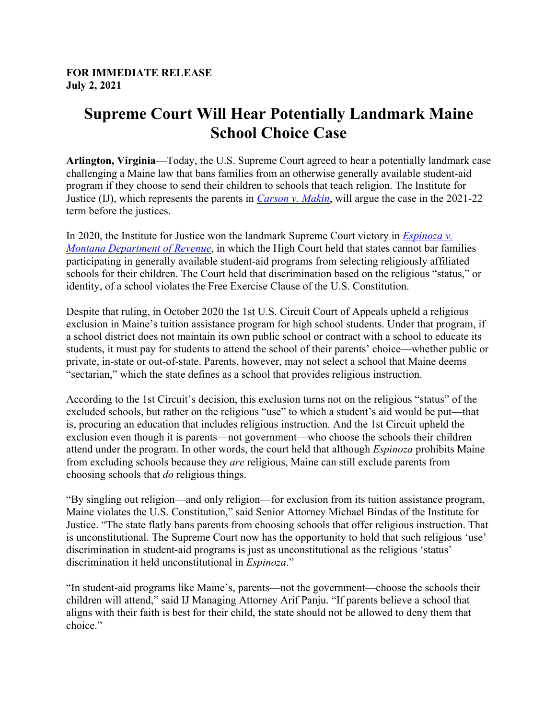## **Supreme Court Will Hear Potentially Landmark Maine School Choice Case**

**Arlington, Virginia**—Today, the U.S. Supreme Court agreed to hear a potentially landmark case challenging a Maine law that bans families from an otherwise generally available student-aid program if they choose to send their children to schools that teach religion. The Institute for Justice (IJ), which represents the parents in *Carson v. Makin*, will argue the case in the 2021-22 term before the justices.

In 2020, the Institute for Justice won the landmark Supreme Court victory in *Espinoza v. Montana Department of Revenue*, in which the High Court held that states cannot bar families participating in generally available student-aid programs from selecting religiously affiliated schools for their children. The Court held that discrimination based on the religious "status," or identity, of a school violates the Free Exercise Clause of the U.S. Constitution.

Despite that ruling, in October 2020 the 1st U.S. Circuit Court of Appeals upheld a religious exclusion in Maine's tuition assistance program for high school students. Under that program, if a school district does not maintain its own public school or contract with a school to educate its students, it must pay for students to attend the school of their parents' choice—whether public or private, in-state or out-of-state. Parents, however, may not select a school that Maine deems "sectarian," which the state defines as a school that provides religious instruction.

According to the 1st Circuit's decision, this exclusion turns not on the religious "status" of the excluded schools, but rather on the religious "use" to which a student's aid would be put—that is, procuring an education that includes religious instruction. And the 1st Circuit upheld the exclusion even though it is parents—not government—who choose the schools their children attend under the program. In other words, the court held that although *Espinoza* prohibits Maine from excluding schools because they *are* religious, Maine can still exclude parents from choosing schools that *do* religious things.

"By singling out religion—and only religion—for exclusion from its tuition assistance program, Maine violates the U.S. Constitution," said Senior Attorney Michael Bindas of the Institute for Justice. "The state flatly bans parents from choosing schools that offer religious instruction. That is unconstitutional. The Supreme Court now has the opportunity to hold that such religious 'use' discrimination in student-aid programs is just as unconstitutional as the religious 'status' discrimination it held unconstitutional in *Espinoza*."

"In student-aid programs like Maine's, parents—not the government—choose the schools their children will attend," said IJ Managing Attorney Arif Panju. "If parents believe a school that aligns with their faith is best for their child, the state should not be allowed to deny them that choice."